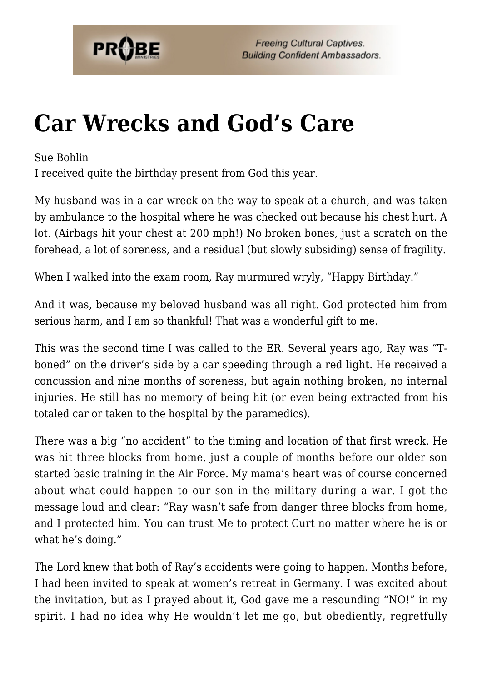

## **[Car Wrecks and God's Care](https://probe.org/car-wrecks-and-gods-care/)**

Sue Bohlin

I received quite the birthday present from God this year.

My husband was in a car wreck on the way to speak at a church, and was taken by ambulance to the hospital where he was checked out because his chest hurt. A lot. (Airbags hit your chest at 200 mph!) No broken bones, just a scratch on the forehead, a lot of soreness, and a residual (but slowly subsiding) sense of fragility.

When I walked into the exam room, Ray murmured wryly, "Happy Birthday."

And it was, because my beloved husband was all right. God protected him from serious harm, and I am so thankful! That was a wonderful gift to me.

This was the second time I was called to the ER. Several years ago, Ray was "Tboned" on the driver's side by a car speeding through a red light. He received a concussion and nine months of soreness, but again nothing broken, no internal injuries. He still has no memory of being hit (or even being extracted from his totaled car or taken to the hospital by the paramedics).

There was a big "no accident" to the timing and location of that first wreck. He was hit three blocks from home, just a couple of months before our older son started basic training in the Air Force. My mama's heart was of course concerned about what could happen to our son in the military during a war. I got the message loud and clear: "Ray wasn't safe from danger three blocks from home, and I protected him. You can trust Me to protect Curt no matter where he is or what he's doing."

The Lord knew that both of Ray's accidents were going to happen. Months before, I had been invited to speak at women's retreat in Germany. I was excited about the invitation, but as I prayed about it, God gave me a resounding "NO!" in my spirit. I had no idea why He wouldn't let me go, but obediently, regretfully